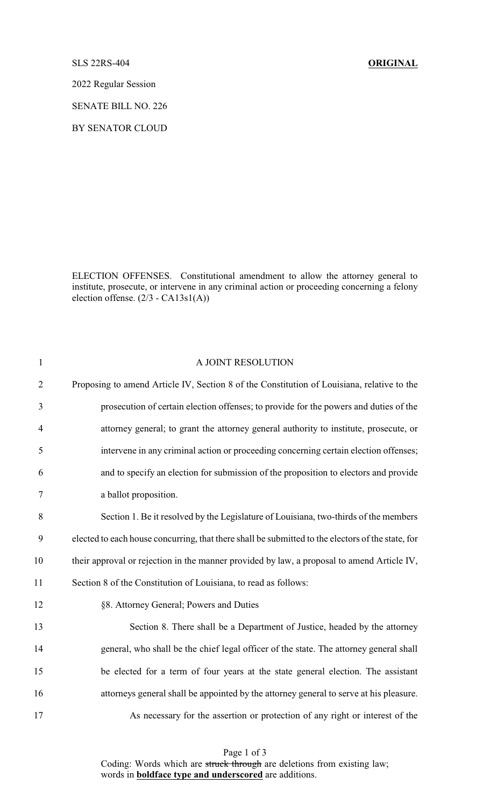## SLS 22RS-404 **ORIGINAL**

2022 Regular Session

SENATE BILL NO. 226

BY SENATOR CLOUD

ELECTION OFFENSES. Constitutional amendment to allow the attorney general to institute, prosecute, or intervene in any criminal action or proceeding concerning a felony election offense. (2/3 - CA13s1(A))

| $\mathbf{1}$   | A JOINT RESOLUTION                                                                                |
|----------------|---------------------------------------------------------------------------------------------------|
| $\overline{2}$ | Proposing to amend Article IV, Section 8 of the Constitution of Louisiana, relative to the        |
| 3              | prosecution of certain election offenses; to provide for the powers and duties of the             |
| $\overline{4}$ | attorney general; to grant the attorney general authority to institute, prosecute, or             |
| 5              | intervene in any criminal action or proceeding concerning certain election offenses;              |
| 6              | and to specify an election for submission of the proposition to electors and provide              |
| 7              | a ballot proposition.                                                                             |
| $8\,$          | Section 1. Be it resolved by the Legislature of Louisiana, two-thirds of the members              |
| 9              | elected to each house concurring, that there shall be submitted to the electors of the state, for |
| 10             | their approval or rejection in the manner provided by law, a proposal to amend Article IV,        |
| 11             | Section 8 of the Constitution of Louisiana, to read as follows:                                   |
| 12             | §8. Attorney General; Powers and Duties                                                           |
| 13             | Section 8. There shall be a Department of Justice, headed by the attorney                         |
| 14             | general, who shall be the chief legal officer of the state. The attorney general shall            |
| 15             | be elected for a term of four years at the state general election. The assistant                  |
| 16             | attorneys general shall be appointed by the attorney general to serve at his pleasure.            |
| 17             | As necessary for the assertion or protection of any right or interest of the                      |

Page 1 of 3 Coding: Words which are struck through are deletions from existing law; words in **boldface type and underscored** are additions.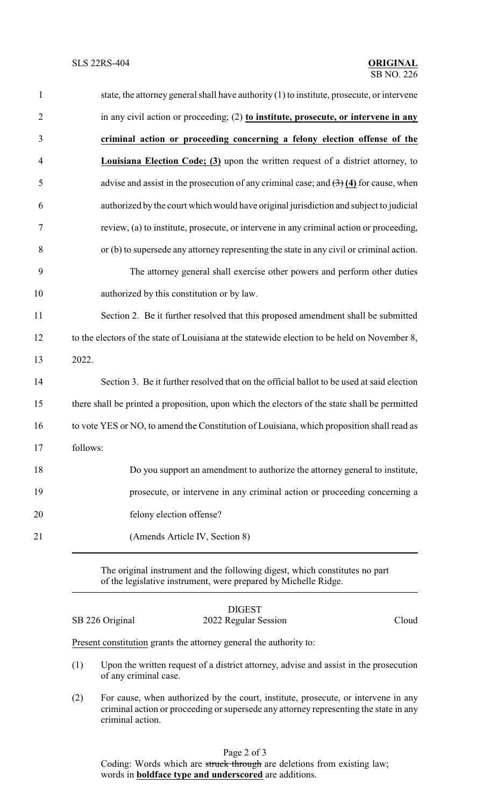| $\mathbf{1}$   | state, the attorney general shall have authority (1) to institute, prosecute, or intervene                    |
|----------------|---------------------------------------------------------------------------------------------------------------|
| $\overline{2}$ | in any civil action or proceeding; (2) to institute, prosecute, or intervene in any                           |
| 3              | criminal action or proceeding concerning a felony election offense of the                                     |
| $\overline{4}$ | <b>Louisiana Election Code; (3)</b> upon the written request of a district attorney, to                       |
| 5              | advise and assist in the prosecution of any criminal case; and $\left(\frac{3}{2}\right)$ (4) for cause, when |
| 6              | authorized by the court which would have original jurisdiction and subject to judicial                        |
| 7              | review, (a) to institute, prosecute, or intervene in any criminal action or proceeding,                       |
| 8              | or (b) to supersede any attorney representing the state in any civil or criminal action.                      |
| 9              | The attorney general shall exercise other powers and perform other duties                                     |
| 10             | authorized by this constitution or by law.                                                                    |
| 11             | Section 2. Be it further resolved that this proposed amendment shall be submitted                             |
| 12             | to the electors of the state of Louisiana at the statewide election to be held on November 8,                 |
| 13             | 2022.                                                                                                         |
| 14             | Section 3. Be it further resolved that on the official ballot to be used at said election                     |
| 15             | there shall be printed a proposition, upon which the electors of the state shall be permitted                 |
| 16             | to vote YES or NO, to amend the Constitution of Louisiana, which proposition shall read as                    |
| 17             | follows:                                                                                                      |
| 18             | Do you support an amendment to authorize the attorney general to institute,                                   |
| 19             | prosecute, or intervene in any criminal action or proceeding concerning a                                     |
| 20             | felony election offense?                                                                                      |
| 21             | (Amends Article IV, Section 8)                                                                                |
|                |                                                                                                               |

The original instrument and the following digest, which constitutes no part of the legislative instrument, were prepared by Michelle Ridge.

## DIGEST SB 226 Original 2022 Regular Session Cloud

Present constitution grants the attorney general the authority to:

- (1) Upon the written request of a district attorney, advise and assist in the prosecution of any criminal case.
- (2) For cause, when authorized by the court, institute, prosecute, or intervene in any criminal action or proceeding or supersede any attorney representing the state in any criminal action.

Coding: Words which are struck through are deletions from existing law; words in **boldface type and underscored** are additions.